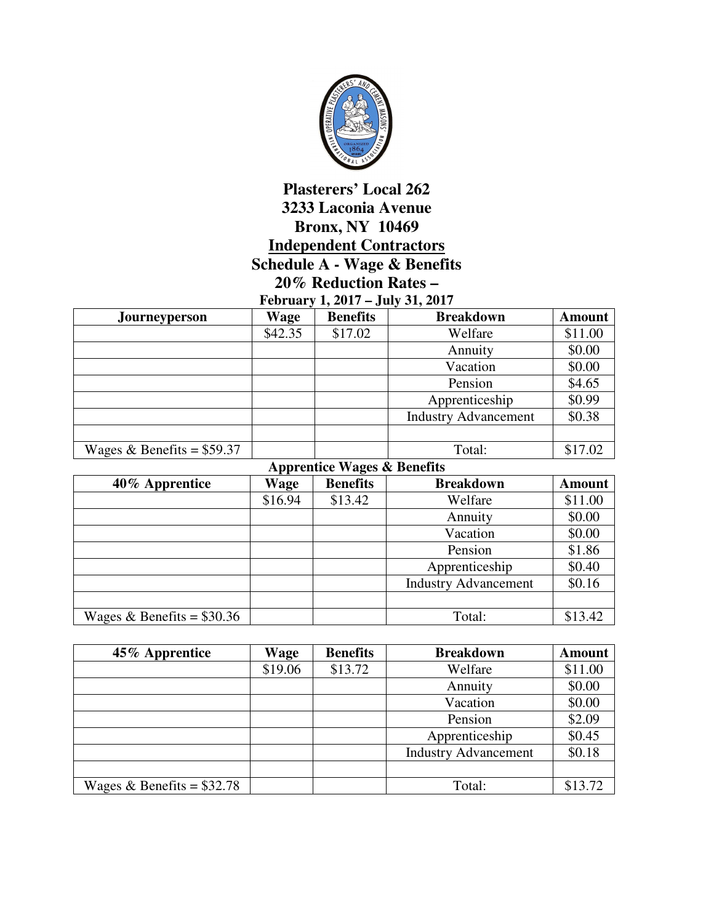

## **Plasterers' Local 262 3233 Laconia Avenue Bronx, NY 10469 Independent Contractors Schedule A - Wage & Benefits 20% Reduction Rates –**

|  | February 1, 2017 – July 31, 2017 |  |
|--|----------------------------------|--|
|  |                                  |  |

| <b>Journeyperson</b>        | Wage    | <b>Benefits</b> | <b>Breakdown</b>            | <b>Amount</b> |
|-----------------------------|---------|-----------------|-----------------------------|---------------|
|                             | \$42.35 | \$17.02         | Welfare                     | \$11.00       |
|                             |         |                 | Annuity                     | \$0.00        |
|                             |         |                 | Vacation                    | \$0.00        |
|                             |         |                 | Pension                     | \$4.65        |
|                             |         |                 | Apprenticeship              | \$0.99        |
|                             |         |                 | <b>Industry Advancement</b> | \$0.38        |
|                             |         |                 |                             |               |
| Wages & Benefits = $$59.37$ |         |                 | Total:                      | \$17.02       |

| <b>Apprentice Wages &amp; Benefits</b> |         |                 |                             |               |  |
|----------------------------------------|---------|-----------------|-----------------------------|---------------|--|
| 40% Apprentice                         | Wage    | <b>Benefits</b> | <b>Breakdown</b>            | <b>Amount</b> |  |
|                                        | \$16.94 | \$13.42         | Welfare                     | \$11.00       |  |
|                                        |         |                 | Annuity                     | \$0.00        |  |
|                                        |         |                 | Vacation                    | \$0.00        |  |
|                                        |         |                 | Pension                     | \$1.86        |  |
|                                        |         |                 | Apprenticeship              | \$0.40        |  |
|                                        |         |                 | <b>Industry Advancement</b> | \$0.16        |  |
|                                        |         |                 |                             |               |  |
| Wages & Benefits = $$30.36$            |         |                 | Total:                      | \$13.42       |  |

| 45% Apprentice              | <b>Wage</b> | <b>Benefits</b> | <b>Breakdown</b>            | <b>Amount</b> |
|-----------------------------|-------------|-----------------|-----------------------------|---------------|
|                             | \$19.06     | \$13.72         | Welfare                     | \$11.00       |
|                             |             |                 | Annuity                     | \$0.00        |
|                             |             |                 | Vacation                    | \$0.00        |
|                             |             |                 | Pension                     | \$2.09        |
|                             |             |                 | Apprenticeship              | \$0.45        |
|                             |             |                 | <b>Industry Advancement</b> | \$0.18        |
|                             |             |                 |                             |               |
| Wages & Benefits = $$32.78$ |             |                 | Total:                      | \$13.72       |